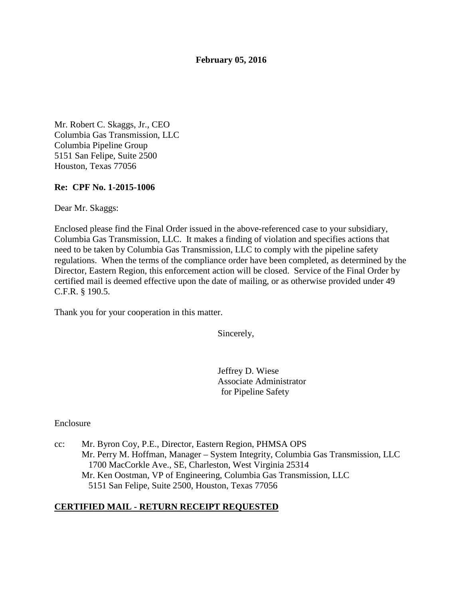#### **February 05, 2016**

Mr. Robert C. Skaggs, Jr., CEO Columbia Gas Transmission, LLC Columbia Pipeline Group 5151 San Felipe, Suite 2500 Houston, Texas 77056

#### **Re: CPF No. 1-2015-1006**

Dear Mr. Skaggs:

Enclosed please find the Final Order issued in the above-referenced case to your subsidiary, Columbia Gas Transmission, LLC. It makes a finding of violation and specifies actions that need to be taken by Columbia Gas Transmission, LLC to comply with the pipeline safety regulations. When the terms of the compliance order have been completed, as determined by the Director, Eastern Region, this enforcement action will be closed. Service of the Final Order by certified mail is deemed effective upon the date of mailing, or as otherwise provided under 49 C.F.R. § 190.5.

Thank you for your cooperation in this matter.

Sincerely,

Jeffrey D. Wiese Associate Administrator for Pipeline Safety

Enclosure

cc: Mr. Byron Coy, P.E., Director, Eastern Region, PHMSA OPS Mr. Perry M. Hoffman, Manager – System Integrity, Columbia Gas Transmission, LLC 1700 MacCorkle Ave., SE, Charleston, West Virginia 25314 Mr. Ken Oostman, VP of Engineering, Columbia Gas Transmission, LLC 5151 San Felipe, Suite 2500, Houston, Texas 77056

#### **CERTIFIED MAIL - RETURN RECEIPT REQUESTED**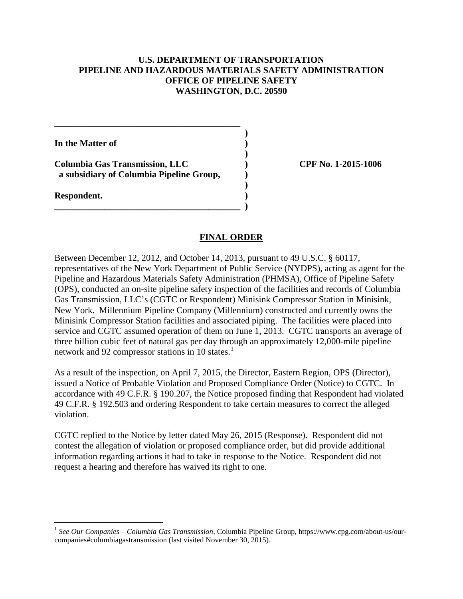## **U.S. DEPARTMENT OF TRANSPORTATION PIPELINE AND HAZARDOUS MATERIALS SAFETY ADMINISTRATION OFFICE OF PIPELINE SAFETY WASHINGTON, D.C. 20590**

**)** 

**)** 

**)** 

**In the Matter of )** 

**Columbia Gas Transmission, LLC ) CPF No. 1-2015-1006 a subsidiary of Columbia Pipeline Group, )** 

**\_\_\_\_\_\_\_\_\_\_\_\_\_\_\_\_\_\_\_\_\_\_\_\_\_\_\_\_\_\_\_\_\_\_\_\_\_\_\_\_\_ )** 

**\_\_\_\_\_\_\_\_\_\_\_\_\_\_\_\_\_\_\_\_\_\_\_\_\_\_\_\_\_\_\_\_\_\_\_\_\_\_\_\_\_** 

**Respondent. )** 

 $\overline{a}$ 

## **FINAL ORDER**

Between December 12, 2012, and October 14, 2013, pursuant to 49 U.S.C. § 60117, representatives of the New York Department of Public Service (NYDPS), acting as agent for the Pipeline and Hazardous Materials Safety Administration (PHMSA), Office of Pipeline Safety (OPS), conducted an on-site pipeline safety inspection of the facilities and records of Columbia Gas Transmission, LLC's (CGTC or Respondent) Minisink Compressor Station in Minisink, New York. Millennium Pipeline Company (Millennium) constructed and currently owns the Minisink Compressor Station facilities and associated piping. The facilities were placed into service and CGTC assumed operation of them on June 1, 2013. CGTC transports an average of three billion cubic feet of natural gas per day through an approximately 12,000-mile pipeline network and 92 compressor stations in 10 states.<sup>1</sup>

As a result of the inspection, on April 7, 2015, the Director, Eastern Region, OPS (Director), issued a Notice of Probable Violation and Proposed Compliance Order (Notice) to CGTC. In accordance with 49 C.F.R. § 190.207, the Notice proposed finding that Respondent had violated 49 C.F.R. § 192.503 and ordering Respondent to take certain measures to correct the alleged violation.

CGTC replied to the Notice by letter dated May 26, 2015 (Response). Respondent did not contest the allegation of violation or proposed compliance order, but did provide additional information regarding actions it had to take in response to the Notice. Respondent did not request a hearing and therefore has waived its right to one.

<sup>1</sup> *See Our Companies – Columbia Gas Transmission*, Columbia Pipeline Group, https://www.cpg.com/about-us/ourcompanies#columbiagastransmission (last visited November 30, 2015).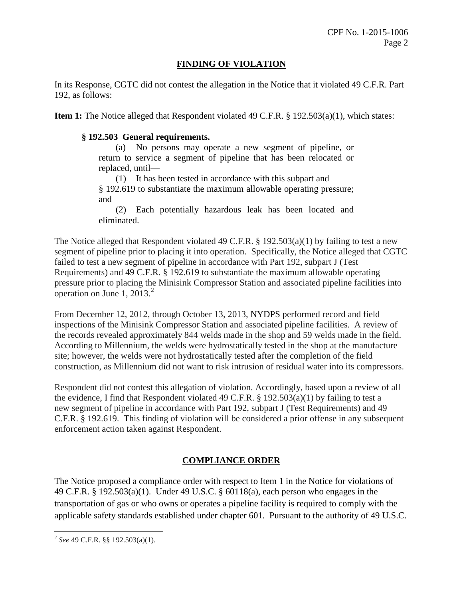## **FINDING OF VIOLATION**

In its Response, CGTC did not contest the allegation in the Notice that it violated 49 C.F.R. Part 192, as follows:

**Item 1:** The Notice alleged that Respondent violated 49 C.F.R. § 192.503(a)(1), which states:

## **§ 192.503 General requirements.**

(a) No persons may operate a new segment of pipeline, or return to service a segment of pipeline that has been relocated or replaced, until—

(1) It has been tested in accordance with this subpart and § 192.619 to substantiate the maximum allowable operating pressure; and

(2) Each potentially hazardous leak has been located and eliminated.

The Notice alleged that Respondent violated 49 C.F.R. § 192.503(a)(1) by failing to test a new segment of pipeline prior to placing it into operation. Specifically, the Notice alleged that CGTC failed to test a new segment of pipeline in accordance with Part 192, subpart J (Test Requirements) and 49 C.F.R. § 192.619 to substantiate the maximum allowable operating pressure prior to placing the Minisink Compressor Station and associated pipeline facilities into operation on June 1,  $2013.<sup>2</sup>$ 

From December 12, 2012, through October 13, 2013, NYDPS performed record and field inspections of the Minisink Compressor Station and associated pipeline facilities. A review of the records revealed approximately 844 welds made in the shop and 59 welds made in the field. According to Millennium, the welds were hydrostatically tested in the shop at the manufacture site; however, the welds were not hydrostatically tested after the completion of the field construction, as Millennium did not want to risk intrusion of residual water into its compressors.

Respondent did not contest this allegation of violation. Accordingly, based upon a review of all the evidence, I find that Respondent violated 49 C.F.R. § 192.503(a)(1) by failing to test a new segment of pipeline in accordance with Part 192, subpart J (Test Requirements) and 49 C.F.R. § 192.619. This finding of violation will be considered a prior offense in any subsequent enforcement action taken against Respondent.

# **COMPLIANCE ORDER**

The Notice proposed a compliance order with respect to Item 1 in the Notice for violations of 49 C.F.R. § 192.503(a)(1). Under 49 U.S.C. § 60118(a), each person who engages in the transportation of gas or who owns or operates a pipeline facility is required to comply with the applicable safety standards established under chapter 601. Pursuant to the authority of 49 U.S.C.

 $\overline{a}$ <sup>2</sup> *See* 49 C.F.R. §§ 192.503(a)(1).